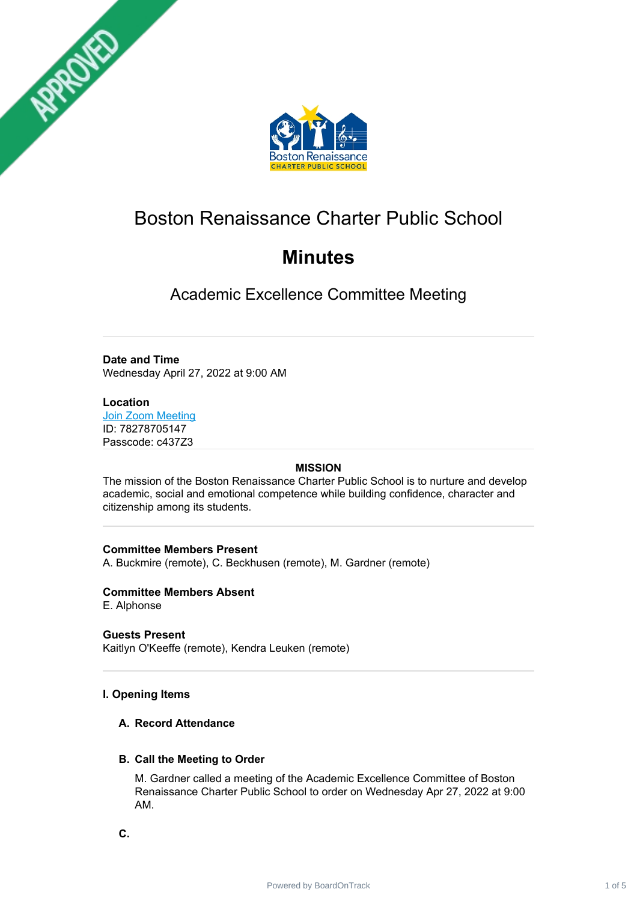



# Boston Renaissance Charter Public School

# **Minutes**

Academic Excellence Committee Meeting

# **Date and Time**

Wednesday April 27, 2022 at 9:00 AM

## **Location**

Join Zoom [Meeting](https://www.google.com/url?q=https://us04web.zoom.us/j/78278705147?pwd%3Duj_ZGykahjT8kIgAiRJagSGtzG-p4H.1&sa=D&source=calendar&ust=1650482198860524&usg=AOvVaw2FaQebw-7D8dVru-ZAgJRP) ID: 78278705147 Passcode: c437Z3

## **MISSION**

The mission of the Boston Renaissance Charter Public School is to nurture and develop academic, social and emotional competence while building confidence, character and citizenship among its students.

## **Committee Members Present**

A. Buckmire (remote), C. Beckhusen (remote), M. Gardner (remote)

**Committee Members Absent** E. Alphonse

**Guests Present** Kaitlyn O'Keeffe (remote), Kendra Leuken (remote)

# **I. Opening Items**

## **A. Record Attendance**

## **B. Call the Meeting to Order**

M. Gardner called a meeting of the Academic Excellence Committee of Boston Renaissance Charter Public School to order on Wednesday Apr 27, 2022 at 9:00 AM.

**C.**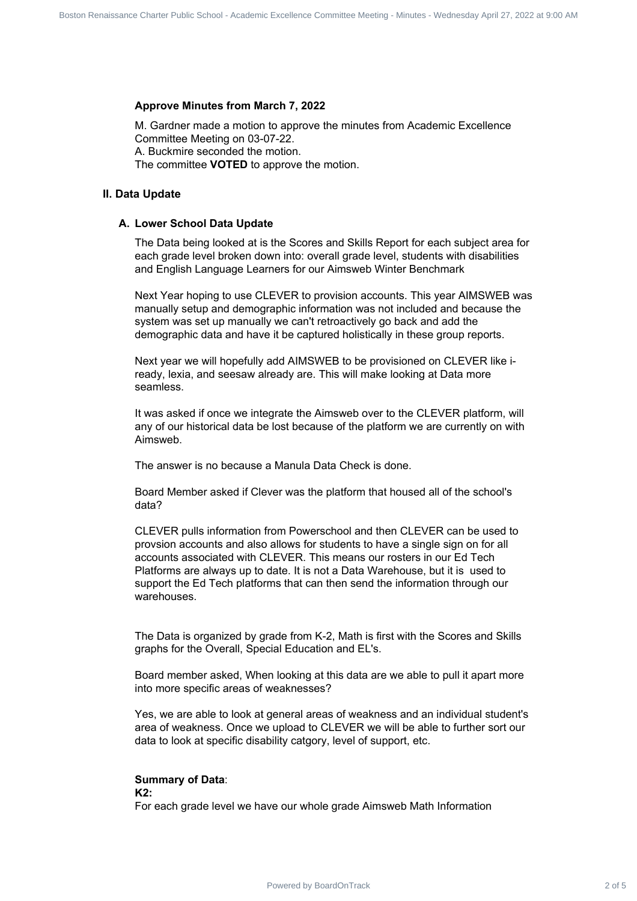#### **Approve Minutes from March 7, 2022**

M. Gardner made a motion to approve the minutes from Academic Excellence Committee Meeting on 03-07-22. A. Buckmire seconded the motion. The committee **VOTED** to approve the motion.

#### **II. Data Update**

#### **A. Lower School Data Update**

The Data being looked at is the Scores and Skills Report for each subject area for each grade level broken down into: overall grade level, students with disabilities and English Language Learners for our Aimsweb Winter Benchmark

Next Year hoping to use CLEVER to provision accounts. This year AIMSWEB was manually setup and demographic information was not included and because the system was set up manually we can't retroactively go back and add the demographic data and have it be captured holistically in these group reports.

Next year we will hopefully add AIMSWEB to be provisioned on CLEVER like iready, lexia, and seesaw already are. This will make looking at Data more seamless.

It was asked if once we integrate the Aimsweb over to the CLEVER platform, will any of our historical data be lost because of the platform we are currently on with Aimsweb.

The answer is no because a Manula Data Check is done.

Board Member asked if Clever was the platform that housed all of the school's data?

CLEVER pulls information from Powerschool and then CLEVER can be used to provsion accounts and also allows for students to have a single sign on for all accounts associated with CLEVER. This means our rosters in our Ed Tech Platforms are always up to date. It is not a Data Warehouse, but it is used to support the Ed Tech platforms that can then send the information through our warehouses. Power Commission Commission Renaissance Charter Charter Charter Charter Charter Charter Charter Charter Charter Charter Charter Charter Charter Charter Charter Charter Public School - Acceleration Committee Committee Chart

The Data is organized by grade from K-2, Math is first with the Scores and Skills graphs for the Overall, Special Education and EL's.

Board member asked, When looking at this data are we able to pull it apart more into more specific areas of weaknesses?

Yes, we are able to look at general areas of weakness and an individual student's area of weakness. Once we upload to CLEVER we will be able to further sort our data to look at specific disability catgory, level of support, etc.

#### **Summary of Data**:

**K2:**

For each grade level we have our whole grade Aimsweb Math Information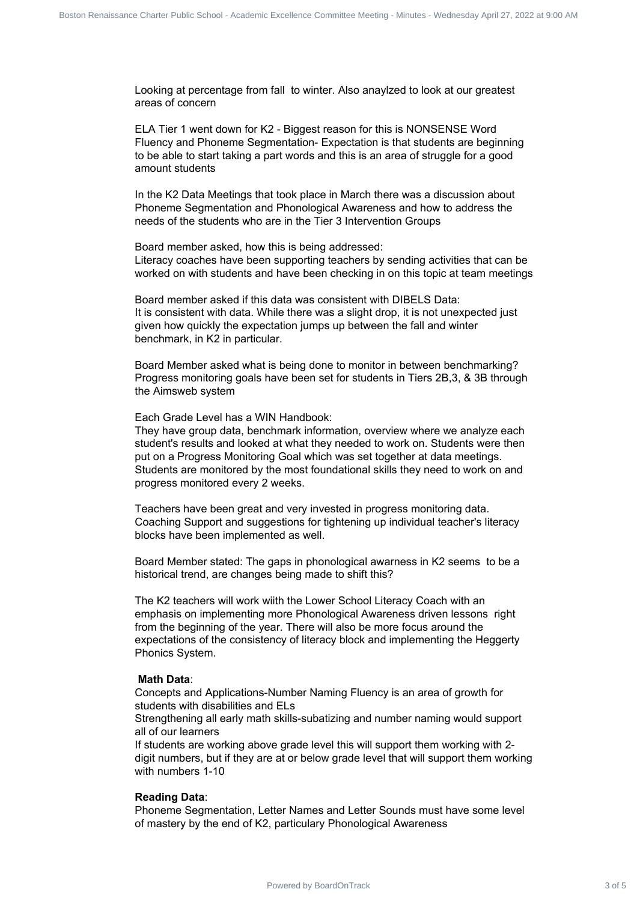Looking at percentage from fall to winter. Also anaylzed to look at our greatest areas of concern

ELA Tier 1 went down for K2 - Biggest reason for this is NONSENSE Word Fluency and Phoneme Segmentation- Expectation is that students are beginning to be able to start taking a part words and this is an area of struggle for a good amount students

In the K2 Data Meetings that took place in March there was a discussion about Phoneme Segmentation and Phonological Awareness and how to address the needs of the students who are in the Tier 3 Intervention Groups

Board member asked, how this is being addressed: Literacy coaches have been supporting teachers by sending activities that can be worked on with students and have been checking in on this topic at team meetings

Board member asked if this data was consistent with DIBELS Data: It is consistent with data. While there was a slight drop, it is not unexpected just given how quickly the expectation jumps up between the fall and winter benchmark, in K2 in particular.

Board Member asked what is being done to monitor in between benchmarking? Progress monitoring goals have been set for students in Tiers 2B,3, & 3B through the Aimsweb system

Each Grade Level has a WIN Handbook:

They have group data, benchmark information, overview where we analyze each student's results and looked at what they needed to work on. Students were then put on a Progress Monitoring Goal which was set together at data meetings. Students are monitored by the most foundational skills they need to work on and progress monitored every 2 weeks. Power entropy the two Board School - Charter 3 of 5 Boston Renaissance Charter 3 of 5 Board 2 of 5 Boston Renaissance Charter 2 of 5 Boston Renaissance Charter 2 of 5 Boston Renaissance Charter 2 of 2 and 2 of 2 and 2 and

Teachers have been great and very invested in progress monitoring data. Coaching Support and suggestions for tightening up individual teacher's literacy blocks have been implemented as well.

Board Member stated: The gaps in phonological awarness in K2 seems to be a historical trend, are changes being made to shift this?

The K2 teachers will work wiith the Lower School Literacy Coach with an emphasis on implementing more Phonological Awareness driven lessons right from the beginning of the year. There will also be more focus around the expectations of the consistency of literacy block and implementing the Heggerty Phonics System.

#### **Math Data**:

Concepts and Applications-Number Naming Fluency is an area of growth for students with disabilities and ELs

Strengthening all early math skills-subatizing and number naming would support all of our learners

If students are working above grade level this will support them working with 2 digit numbers, but if they are at or below grade level that will support them working with numbers 1-10

#### **Reading Data**:

Phoneme Segmentation, Letter Names and Letter Sounds must have some level of mastery by the end of K2, particulary Phonological Awareness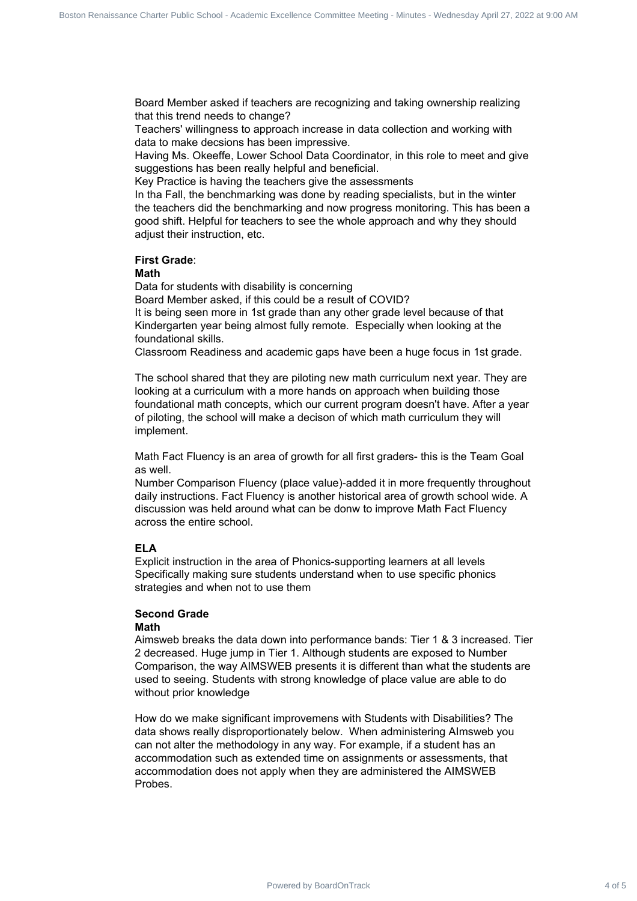Board Member asked if teachers are recognizing and taking ownership realizing that this trend needs to change?

Teachers' willingness to approach increase in data collection and working with data to make decsions has been impressive.

Having Ms. Okeeffe, Lower School Data Coordinator, in this role to meet and give suggestions has been really helpful and beneficial.

Key Practice is having the teachers give the assessments

In tha Fall, the benchmarking was done by reading specialists, but in the winter the teachers did the benchmarking and now progress monitoring. This has been a good shift. Helpful for teachers to see the whole approach and why they should adiust their instruction, etc.

#### **First Grade**:

#### **Math**

Data for students with disability is concerning

Board Member asked, if this could be a result of COVID?

It is being seen more in 1st grade than any other grade level because of that Kindergarten year being almost fully remote. Especially when looking at the foundational skills.

Classroom Readiness and academic gaps have been a huge focus in 1st grade.

The school shared that they are piloting new math curriculum next year. They are looking at a curriculum with a more hands on approach when building those foundational math concepts, which our current program doesn't have. After a year of piloting, the school will make a decison of which math curriculum they will implement.

Math Fact Fluency is an area of growth for all first graders- this is the Team Goal as well.

Number Comparison Fluency (place value)-added it in more frequently throughout daily instructions. Fact Fluency is another historical area of growth school wide. A discussion was held around what can be donw to improve Math Fact Fluency across the entire school.

#### **ELA**

Explicit instruction in the area of Phonics-supporting learners at all levels Specifically making sure students understand when to use specific phonics strategies and when not to use them

### **Second Grade**

#### **Math**

Aimsweb breaks the data down into performance bands: Tier 1 & 3 increased. Tier 2 decreased. Huge jump in Tier 1. Although students are exposed to Number Comparison, the way AIMSWEB presents it is different than what the students are used to seeing. Students with strong knowledge of place value are able to do without prior knowledge

How do we make significant improvemens with Students with Disabilities? The data shows really disproportionately below. When administering AImsweb you can not alter the methodology in any way. For example, if a student has an accommodation such as extended time on assignments or assessments, that accommodation does not apply when they are administered the AIMSWEB Probes. Board Renaissance Committee Renaissance Charter Commissions (Alabam Visit Board Charter Charter Charter Charter Charter Charter Charter Charter Charter Charter Charter Charter Charter Charter Charter Charter Charter Charte